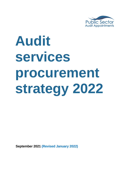

# **Audit services procurement strategy 2022**

**September 2021 (Revised January 2022)**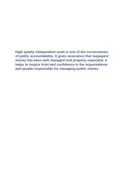**High quality independent audit is one of the cornerstones of public accountability. It gives assurance that taxpayers' money has been well managed and properly expended. It helps to inspire trust and confidence in the organisations and people responsible for managing public money.**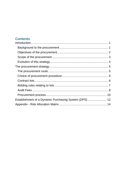# **Contents**

| Establishment of a Dynamic Purchasing System (DPS)  12 |  |
|--------------------------------------------------------|--|
|                                                        |  |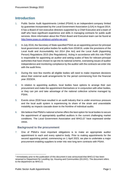## **Introduction**

- 1. Public Sector Audit Appointments Limited (PSAA) is an independent company limited by guarantee incorporated by the Local Government Association (LGA) in August 2014. It has a Board of non-executive directors supported by a Chief Executive and a team of staff who have significant experience and skills in managing contracts for public audit services. More information about the PSAA Board and Executive team can be found at [http://www.psaa.co.uk/about-us/who-we-are/.](http://www.psaa.co.uk/about-us/who-we-are/)
- 2. In July 2016, the Secretary of State specified PSAA as an appointing person for principal local government and police bodies for audits from 2018/19, under the provisions of the Local Audit and Accountability Act 2014 (the Act) and the Local Audit (Appointing Person) Regulations 2015 (the Regulations). Acting in accordance with this role PSAA is responsible for appointing an auditor and setting scales of fees for relevant principal authorities that have chosen to opt into its national scheme, overseeing issues of auditor independence and monitoring compliance by the auditor with the contracts we enter into with the audit firms.
- 3. During the next few months all eligible bodies will need to make important decisions about their external audit arrangements for the period commencing from the financial year 2023/24.
- 4. In relation to appointing auditors, local bodies have options to arrange their own procurement and make the appointment themselves or in conjunction with other bodies, or they can join and take advantage of the national collective scheme managed by PSAA.
- 5. Events since 2018 have resulted in an audit industry that is under enormous pressure and the local audit system is experiencing its share of the strain and unavoidable instability as impacts cascade down to the frontline of individual audits.
- 6. We believe that PSAA's national scheme offers the best option for local bodies to secure the appointment of appropriately qualified auditors in the current challenging market conditions. The Local Government Association and MHCLG<sup>1</sup> have expressed similar views.

## **Background to the procurement**

7. One of PSAA's most important obligations is to make an appropriate auditor appointment to each and every opted-in body. Prior to making appointments for the second appointing period, commencing on 1 April 2023, we plan to undertake a major procurement enabling suppliers to enter into new long term contracts with PSAA.

<sup>1</sup> Immediately prior to the publication of this document it was announced that MHCLG has been renamed to Department for Levelling Up, Housing and Communities (DLUHC). The document refers to the department as MHCLG.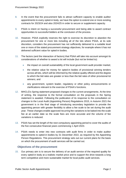- 8. In the event that the procurement fails to attract sufficient capacity to enable auditor appointments to every opted-in body, we have the option to extend one or more existing contracts for 2023/24 and also 2024/25 in order to secure or supplement capacity.
- 9. PSAA is intent on having a successful procurement and being able to award contract opportunities to successful bidders at the conclusion of the process.
- 10. However, PSAA explicitly reserves the right to exercise its discretion to abandon the procurement for one or more lots including all of the lots where PSAA, at its sole discretion, considers the procurement has not sufficiently delivered to a suitable level one or more of the stated procurement strategy objectives, for example where it has not delivered sufficient value for opted-in bodies.
- 11. The factors (and the interaction of factors) that PSAA will take into account amongst its considerations of whether to award a lot will include (but not be limited to):
	- the impact on overall sustainability of the local government audit provider market;
	- the relative value for money for opted-in bodies of provisional winning tenders across all lots, which will be informed by the relative quality offered and the degree to which the bid rates are greater or less than the bid rates of other provisional lot winners; and
	- any government, system leader, regulatory or other policy announcements or clarifications relevant to the exercise of PSAA's functions.
- 12. MHCLG's Spring statement proposed changes to the current arrangements. At the time of writing, the response to the formal consultation on the proposals in the Spring statement is awaited. Following the publication of its response to the consultation on changes to the Local Audit (Appointing Person) Regulations 2015, in Autumn 2021 the government is in the final stage of introducing secondary legislation to provide the appointing person with greater flexibility to allow a fee scale to be set during the audit year. These changes enable approved recurring fee variations to be baked into the scale fee at an earlier date so the scale fees are more accurate and the volume of fee variations is reduced.
- 13. PSAA has set the length of the next compulsory appointing period to cover the audits of the five consecutive financial years commencing 1 April 2023.
- 14. PSAA needs to enter into new contracts with audit firms in order to make auditor appointments to opted-in bodies by 31 December 2022, as required by the Appointing Person Regulations. This procurement strategy sets out our current plans for the basis on which the procurement of audit services will be carried out.

## **Objectives of the procurement**

15. Our primary aim is to secure the delivery of an audit service of the required quality for every opted-in body at a realistic market price and to support the drive towards a long term competitive and more sustainable market for local public audit services.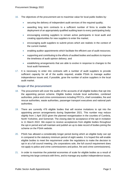- 16. The objectives of the procurement are to maximise value for local public bodies by:
	- securing the delivery of independent audit services of the required quality;
	- awarding long term contracts to a sufficient number of firms to enable the deployment of an appropriately qualified auditing team to every participating body;
	- encouraging existing suppliers to remain active participants in local audit and creating opportunities for new suppliers to enter the market;
	- encouraging audit suppliers to submit prices which are realistic in the context of the current market;
	- enabling auditor appointments which facilitate the efficient use of audit resources;
	- supporting and contributing to the efforts of audited bodies and auditors to improve the timeliness of audit opinion delivery; and
	- establishing arrangements that are able to evolve in response to changes to the local audit framework.
- 17. It is necessary to enter into contracts with a number of audit suppliers to provide sufficient capacity for all of the audits required, enable PSAA to manage auditor independence issues and, if possible, grow the number of active suppliers in the local audit market.

## **Scope of the procurement**

- 18. The procurement will cover the audits of the accounts of all eligible bodies that opt into the appointing person scheme. Eligible bodies include local authorities, combined authorities, police and crime commissioners including PFCCs, chief constables, fire and rescue authorities, waste authorities, passenger transport executives and national park authorities.
- 19. There are currently 476 eligible bodies that will receive invitations to opt into the appointing person arrangements during September 2021. This number may reduce slightly from 1 April 2023 given the planned reorganisation in the counties of Cumbria, North Yorkshire, and Somerset. The closing date for acceptance of the opt-in invitation is 11 March 2022. We expect to receive acceptances from eligible bodies throughout the opt-in period and will maintain and publish an up to date record of bodies joining the scheme on the PSAA website.
- 20. PSAA has allowed a considerably longer period during which an eligible body can opt in compared to the statutory minimum period of eight weeks. It is hoped this will enable eligible bodies to meet the requirement under the regulations to make the decision to opt in at a full council meeting. (As corporations sole, the full council requirement does not apply to police and crime commissioners and police, fire and crime commissioners).
- 21. In order to maximise the potential economies of scale for eligible bodies as a result of entering into large contracts with firms, and to manage any auditor independence issues,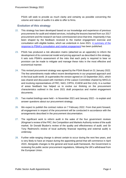PSAA will seek to provide as much clarity and certainty as possible concerning the volume and nature of audits it is able to offer to firms.

## **Evolution of this strategy**

- 22. This strategy has been developed based on our knowledge and experience of previous procurements for audit and related services, including the lessons learned from our 2017 procurement and the research we have commissioned since that time. Importantly it has been shaped by the feedback received to the market engagement exercise and consultation with eligible bodies, which we undertook in June 2021. A [summary](https://www.psaa.co.uk/about-us/appointing-person-information/appointing-period-2023-24-2027-28/prospectus-2023-and-beyond/response-to-consultations-on-proposed-arrangements-for-the-appointing-period-starting-april-2023/) of the response to PSAA's consultation and market [engagement](https://www.psaa.co.uk/about-us/appointing-person-information/appointing-period-2023-24-2027-28/prospectus-2023-and-beyond/response-to-consultations-on-proposed-arrangements-for-the-appointing-period-starting-april-2023/) has been published.
- 23. PSAA has produced a risk allocation matrix (attached as an appendix) to inform the development of its commercial model and pricing approach as described in this strategy. It sets outs PSAA's assessment of the risks that each party is required to bear so provision can be made to mitigate and manage these risks in the most effective and economical manner.
- 24. This revised procurement strategy was agreed by the PSAA Board on 31 January 2022. The few amendments made reflect recent developments in our proposed approach and in the local audit world. (It supersedes the version agreed on 15 September 2021, which was shared and discussed with members of the Liaison Committee chaired by MHCLG and involving representatives of FRC, NAO, CIPFA, ICAEW and the LGA). In a number of areas feedback has helped us to evolve our thinking on the procurement characteristics outlined in the June 2021 draft prospectus and market engagement documents.
- 25. Two market briefings were held in November 2021 and January 2022 to explain and answer questions about our procurement strategy.
- 26. We expect to publish the contract notice on 7 February 2022. From that point forward, all engagement in respect of the procurement will be conducted in accordance with the arrangements described in the procurement documentation.
- 27. The significant work to reform audit in the wake of the four government reviews (Kingman's review of the FRC; the Competition and Markets Authority review of the audit market; Sir Donald Brydon's review of the quality and effectiveness of audit; and Sir Tony Redmond's review of local authority financial reporting and external audit) is underway.
- 28. Further wide-ranging change is almost certain to occur during the next few years, and is very likely to have an impact during the appointing period that will commence in April 2023. Alongside changes to the general and local audit framework, the Government is reviewing the public sector procurement regulations, following the UK's withdrawal from the European Union.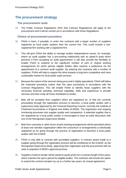## **The procurement strategy**

#### **The procurement route**

29. The Public Contract Regulations 2015 (the Contract Regulations) will apply to the procurement and it will be carried out in accordance with those Regulations.

#### **Choice of procurement procedure**

- 30. PSAA is keen, if possible, to enter into contracts with a larger number of suppliers registered as local public auditors than the current five. This could include a nonregistered firm working with a registered firm.
- 31. This will give PSAA the ability to manage auditor independence issues, for example, where an audit supplier has a pre-existing relationship with an opted-in body which prevents it from accepting an audit appointment. It will also provide the flexibility to enable PSAA to respond to the significant number of joint or shared working arrangements for which partner eligible bodies often express a preference for the appointment of a common audit supplier. By entering into contracts with a number of suppliers, PSAA will help to support the drive towards a long term competitive and more sustainable market for local public audit services.
- 32. Because the nature of the services being procured is highly specialised, PSAA will follow the restricted procedure (rather than the open procedure) in accordance with the Contract Regulations. This will enable PSAA to identify those suppliers with the necessary financial standing, technical capability, skills and experience to provide services and then invite all those shortlisted to tender.
- 33. Bids will be accepted from suppliers which are registered as, or that are currently proceeding through the registration process to become, a local public auditor with a supervisory body approved by the Financial Reporting Council, currently the Institute of Chartered Accountants in England and Wales (ICAEW). The registration and ongoing monitoring processes test supplier quality and competence. A potential supplier that is not registered as a local public auditor is encouraged to have an early discussion with one of the Recognised Supervisory Bodies.
- 34. Bids from consortia or other forms of joint working arrangements will be permitted where at least one member organisation within the consortium or arrangements is individually registered as (or going through the process of registration to become) a local public auditor with the ICAEW.
- 35. PSAA is only able to contract with accredited suppliers. A contract award made to a supplier going through the registration process will be conditional on the ICAEW, as the Recognised Supervisory Body, approving their registration and the procurement will not seek to prejudice ICAEW's approval process.
- 36. Suppliers invited to tender will be asked to quote prices for a contract length of five years, which matches the opt-in period for eligible bodies. The contracts will include the option to extend the contract duration by up to a further two years, by mutual agreement.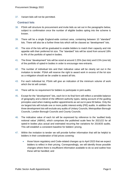37. Variant bids will not be permitted.

#### **Contract lots**

- 38. PSAA will structure its procurement and invite bids as set out in the paragraphs below, subject to confirmation once the number of eligible bodies opting into the scheme is known.
- 39. There will be a single England-wide contract area, containing between 10 "standard" lots. There will also be a further three lots which will be classed as "development" lots.
- 40. The size of the lots will be graduated to enable bidders to match their capacity and risk appetite with their preferred lot size. The "standard" lots will be sized from around 18% to 4% of the portfolio of opted-in bodies.
- 41. The three "development" lots will be sized at around 2.25% (two lots) and 0.5% (one lot) of the portfolio of opted-in bodies in order to encourage new entrants.
- 42. The number of individual lots and their indicative value will be clearly set out in the invitation to tender. PSAA will reserve the right to award work in excess of the lot size as a mitigation should we be unable to award all lots.
- 43. For each individual lot, PSAA will give an indication of the minimum volume of work which the lot will contain.
- 44. There will be no requirement for bidders to participate in joint audits.
- 45. Except for the "development" lots, each lot in its final form will reflect a sensible balance of geography and a blend of the different authority types, taking account of the guiding principles used when making auditor appointments as set out in para 50 below. Only the six largest lots will include one or more public interest entity (PIE) audits. In addition the three development lots will exclude any audits of Unitary Councils, Metropolitan Borough Councils, London Borough Councils and County Councils.
- 46. The indicative value of each lot will be expressed by reference to the 'audited body notional value' (ABNV), which comprises the published scale fees for 2021/22 for all opted-in bodies plus actual and estimated recurring fee variations for 2019/20 audits. This will establish a consistent baseline for bidders' pricing.
- 47. Within the invitation to tender we will provide further information that will be helpful to bidders in their consideration of bid prices covering:
	- those future regulatory and Code-related changes up to April 2023 that we expect bidders to reflect in their pricing. Correspondingly, we will identify those possible changes where there is insufficient information available to do so and outline how these will be handled; and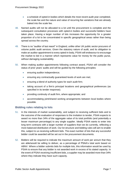- a schedule of opted-in bodies which details the most recent audit year completed, the scale fee and the nature and value of recurring fee variations that are already baked into the scale fee.
- 48. Named audits will not be allocated to a lot until the procurement is complete and the subsequent consultation processes with opted-in bodies and successful bidders have taken place. Having a larger number of lots increases the opportunity for a greater proportion of a lot to be concentrated in specific geographical areas rather than being spread across the country.
- 49. There is no "auditor of last resort" in England, unlike other UK public sector procurers of volume public audit services. Given the statutory nature of audit, and its obligation to make an auditor appointment to every opted-in body, PSAA will endeavour to encourage the market to bid in a manner which represents value for money for the public purse, without damaging sustainability.
- 50. When making auditor appointments following contract award, PSAA will consider the status of prior years' audits and will be guided by the following principles:
	- ensuring auditor independence;
	- ensuring any contractually guaranteed levels of work are met;
	- ensuring a blend of authority types for each audit firm;
	- taking account of a firm's principal locations and geographical preferences (as specified in its tender response);
	- providing continuity of audit firm, where appropriate; and
	- accommodating joint/shared working arrangements between local bodies where possible.

## **Bidding rules relating to lots**

- 51. In the interests of market sustainability, and subject to receiving sufficient bids and to the outcome of the evaluation of responses to the invitation to tender, PSAA expects to award no more than 34% of the aggregate value of its total portfolio (and potentially a lesser maximum percentage) to any single supplier. Ideally PSAA wants to enter into long term contracts with a larger number of suppliers than we do currently, reflecting a more balanced distribution of work. Our lot structure and bidding rules will aim to enable this, subject to us receiving sufficient bids. The exact number of lots that any successful bidder could be awarded will be set out in the procurement documents.
- 52. Bidders will be required to indicate the maximum amount of work per annum that they are able/would be willing to deliver, as a percentage of PSAA's total work based on ABNV. Where a bidder submits bids for multiple lots, this information would be used by PSAA to ensure that any bidder is not awarded work in excess of its stated capacity. In the event of PSAA receiving insufficient bids, a supplier may be awarded more than 34% where they indicate they have such capacity.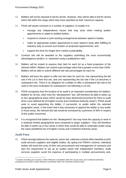- 53. Bidders will not be required to bid for all lots. However, they will be able to bid for all lots which fall within the range which they have specified as their maximum capacity.
- 54. PSAA will award contracts to a number of suppliers, to enable it to:
	- manage any independence issues that may arise when making auditor appointments to opted-in audited bodies;
	- respond to shared or joint working arrangements between opted-in bodies;
	- make an appropriate auditor appointment to each opted-in body after fulfilling its statutory duty to consult such bodies on proposed appointments; and
	- support the drive for longer-term market sustainability.
- 55. Contract lots will be awarded to the suppliers submitting the most economically advantageous tenders i.e. assessed using a quality/price ratio.
- 56. Bidders will be invited to express their bids for each lot as a fixed proportion of the relevant ABNV. Bidders can submit a percentage value that is greater or less than 100%. Bidders will be able to submit different bid rate percentages for each lot.
- 57. Bidders will have the option to offer two bid rates for each lot: one representing the bid rate if the Lot is their first win, and one representing the bid rate if the Lot becomes a subsequent win. There is no obligation for a bidder to offer a subsequent bid rate to be used in the price evaluation for subsequent Lots following a Lot win.
- 58. PSAA recognises that the location of an audit is an important consideration for bidders. Bidders for all lots, other than the "development" lots, will therefore be able to select up to four geographical areas which would be least attractive/convenient for them to audit (from a pre-defined list of English County and Combined Authority areas<sup>2</sup>). PSAA would seek to avoid appointing the bidder, if successful, to audits within the selected geographic areas. In the event that it was necessary to appoint the bidder to any audits in those areas, the relevant bid rate would be increased by a premium of 30% in respect of the audits concerned.
- 59. It is recognised that bidders for the "development" lots may have the capacity to work in a relatively limited geographical area compared to larger suppliers. They will therefore be able to select up to four areas in which they would be able to undertake audits using the same predefined list of English County and Combined Authority areas.

## **Audit Fees**

60. PSAA strongly believes the national, sector-led, collective scheme offers benefits to both audit services suppliers and eligible bodies. By opting into PSAA's scheme, individual bodies will avoid the costs of their own procurement and management of contracts and also the requirement to set up an auditor panel with independent members. Audit services suppliers avoid the expense of participating in multiple procurements and,

<sup>&</sup>lt;sup>2</sup> Counties (including any Councils or Other Relevant Local Bodies within the County area), and Combined Authorities (including any Councils or Other Relevant Local Bodies within the Combined Authority area)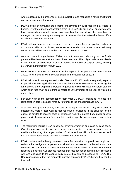where successful, the challenge of being subject to and managing a range of different contract management regimes.

- 61. PSAA's costs of managing the scheme are covered by audit fees paid by opted-in bodies. Over the current contract term, from 2018 to 2023, our annual operating costs have averaged approximately 4% of total annual contract spend. We plan to continue to manage our own costs appropriately and to ensure that the national scheme offers excellent value for its members.
- 62. PSAA will continue to pool scheme costs and charge fees to opted-in bodies in accordance with our published fee scale as amended from time to time following consultations with scheme members and other interested parties.
- 63. As a not-for-profit organisation, PSAA returns to opted-in bodies any surplus funds generated by the scheme after all costs have been met. This obligation is set out clearly in our articles of association. Our most recent distribution of surplus funds, totalling £5.6m was announced in August 2021.
- 64. PSAA expects to make a statement on the impact of the procurement outcome on 2023/24 scale fees following contract award in the second half of 2022.
- 65. PSAA will consult on the proposed scale of fees for 2023/24 and subsequently expects to publish the fees applicable no later than the end of November 2023, following the amendment to the Appointing Person Regulations which will move the latest date by which audit fees must be set from 31 March to 30 November of the year to which the audit relates.
- 66. For each year of the contract (apart from year 1), PSAA intends to increase the remuneration paid to its audit firms by reference to the annual increase in CPI.
- 67. Additional fees (fee variations) are part of the legal framework. They only occur if substantially more or less work is required than is envisaged in the scale fee or the auditor is entitled to recover costs or expenses from the audited body under specific provisions in the regulations, for example in relation to public interest reports or objection work.
- 68. The regulations require PSAA to consider every fee variation on a case-by-case basis. Over the past nine months we have made improvements to our internal processes to enable the handling of a larger number of claims and we will continue to review and make improvements where possible for the benefit of all parties.
- 69. PSAA reviews and robustly assesses each fee variation proposal. We apply our technical knowledge and experience of all audits to assess each submission and can compare with similar submissions for other bodies across all our audit suppliers before reaching a decision. Our process requires that fees for additional work are discussed with and explained to the audited body before they can be proposed to PSAA. The Regulations require that the proposals must be approved by PSAA before they can be invoiced.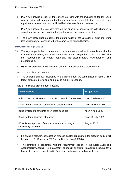- 70. PSAA will provide a copy of the current rate card with the invitation to tender. Each winning bidder will be remunerated for additional work for each lot that it wins at a rate equal to the current rate card multiplied by its bid rate for that particular lot.
- 71. PSAA will update the rate card through the appointing period in line with changes to scale fees that are not related to the level of work – for example, inflation.
- 72. The hourly rates used as part of the determination of the valuation of additional work (fee variations) will continue to be the same for all audited bodies.

### **Procurement process**

- 73. The key stages in the procurement process are set out below. In accordance with the Contract Regulations, PSAA will ensure that at each stage the process complies with the requirements of equal treatment, non-discrimination, transparency, and proportionality.
- 74. PSAA will use the Delta e-tendering platform to undertake this procurement.

Timetable and key milestones

75. The timetable and key milestones for the procurement are summarised in Table 1. The target dates are provisional and may be subject to change.

| Table 1 – indicative procurement timetable                                 |                      |  |  |  |
|----------------------------------------------------------------------------|----------------------|--|--|--|
| <b>Key milestone</b>                                                       | <b>Target Date</b>   |  |  |  |
| Publish Contract Notice and issue documentation on request                 | noon 7 February 2022 |  |  |  |
| Deadline for submission of Selection Questionnaires                        | noon 18 March 2022   |  |  |  |
| Issue invitation to tender to short-listed suppliers                       | noon 7 April 2022    |  |  |  |
| Deadline for submission of tenders                                         | noon 11 July 2022    |  |  |  |
| PSAA Board approval of contract awards, assuming a<br>satisfactory outcome | August 2022          |  |  |  |

- 76. Following a statutory consultation process auditor appointment for opted-in bodies will be made by 31 December 2022 for audit years from 2023/24.
- 77. This timetable is consistent with the requirement set out in the Local Audit and Accountability Act 2014, for an authority to appoint an auditor to audit its accounts for a financial year by no later than 31 December in the preceding financial year.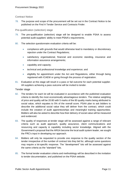#### Contract Notice

78. The purpose and scope of the procurement will be set out in the Contract Notice to be published on the Find A Tender Service and Contracts Finder.

#### Pre-qualification (selection) stage

- 79. The pre-qualification (selection) stage will be designed to enable PSAA to assess potential audit suppliers' ability to meet PSAA's requirements.
- 80. The selection questionnaire evaluation criteria will be:
	- compliance with grounds that would otherwise lead to mandatory or discretionary rejection under the Contract Regulations;
	- satisfactory organisational, financial and economic standing, insurance and information assurance arrangements;
	- capability and capacity;
	- technical and professional knowledge and experience; and
	- eligibility for appointment under the Act and Regulations, either through being registered with ICAEW or going through the process of registration.
- 81. Evaluation at this stage will result in a pass or fail outcome for each potential supplier. All suppliers achieving a pass outcome will be invited to tender.

#### Tender stage

- 82. The tenders for each lot will be evaluated in accordance with the published evaluation criteria to identify the most economically advantageous tenders. The relative weighting of price and quality will be 20:80 with 5 marks of the 80 quality marks being attributed to social value, which equates to 5% of the overall score. PSAA plan to ask bidders to describe the additional social value they will deliver from the contract, which could include the creation of audit apprenticeships and meaningful training opportunities. Bidders will also be asked to describe how their delivery of social value will be measured and evidenced.
- 83. The quality of responses at tender stage will be assessed against a range of relevant criteria such as audit approach, quality assurance, client communications and resourcing and capacity & capability including sector knowledge. Aligned with the Government's proposal that the ARGA become the local audit system leader, we sought the FRC's input in developing our approach.
- 84. Bidders will only be requested to provide one response to the quality section of the tender irrespective of the number of contract lots they bid for, although some questions may require a lot-specific response. The "development" lots will be assessed against the same criteria as the "standard" lots.
- 85. The formal tender evaluation criteria and methodology will be described in the invitation to tender documentation, and published on the PSAA website.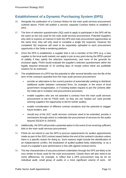# **Establishment of a Dynamic Purchasing System (DPS)**

- 86. Alongside the publication of a Contract Notice for the main audit services procurement outlined above, PSAA will publish a second, separate Contract Notice to establish a DPS.
- 87. The form of selection questionnaire (SQ) used to apply to participate in the DPS will be the same as the one used for the main audit services procurement. Potential Suppliers who wish to express an interest in both the DPS and main procurement opportunities at the same time, they will only need to complete a single SQ response. However the completed SQ response will need to be separately uploaded to each procurement opportunity in the Delta e-tendering platform.
- 88. Once the DPS is established, a supplier that is not a member of the DPS (e.g. a new supplier to the local audit market) can apply to join at any point during the DPS's period of validity if they satisfy the selection requirements, and none of the grounds for exclusion apply. PSAA would evaluate the supplier's selection questionnaire within the legally required timescale of 10 working days of receipt unless there are justifiable reasons for an extension.
- 89. The establishment of a DPS has the potential to offer several benefits over the life of the term of the contracts awarded from the main audit services procurement:
	- provide an alternative to the current practice of automatically seeking to distribute additional audits between contracted firms, for example, in the event of local government reorganisation, or if existing bodies request to join the scheme after the initial opt-in invitation and procurement processes;
	- enable suppliers who are not awarded a contract from the main audit services procurement to bid for PSAA work, so they are not "locked out" (and provide winning suppliers the opportunity to bid for further audits);
	- enable consideration of different contract durations and the potential to stagger future tenders; and
	- should any of the 2017 audit services contracts need to be extended, provide a mechanism through which to undertake the procurement of services for the audits beyond 2023/24 or 2024/25.
- 90. Additionally, the DPS will provide a potential option in the event of not receiving sufficient bids to the main audit services procurement.
- 91. PSAA do not intend to use the DPS to procure replacements for auditor appointments made as part of the 2022 contract award before the end of the contract's duration unless there is a specific reason for doing so. Such reasons might include the identification of an independence conflict, the breakdown of auditor-audited body relationship, or as a result of a supplier's poor performance in line with agreed contract terms.
- 92. The key characteristics of any procurement undertaken through the DPS are likely to be very similar to those used for the main procurement. Clearly there will also need to be some differences, for example, to reflect that a DPS procurement may be for an individual audit, small group of audits or a more significant volume of work. All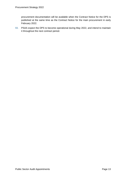procurement documentation will be available when the Contract Notice for the DPS is published at the same time as the Contract Notice for the main procurement in early February 2022.

93. PSAA expect the DPS to become operational during May 2022, and intend to maintain it throughout the next contract period.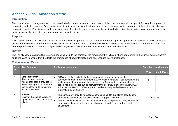# **Appendix - Risk Allocation Matrix**

#### **Introduction**

The allocation and management of risk is central to all commercial contracts and is one of the core commercial principles informing the approach to contracting with third parties. Each party seeks to minimise its overall risk and maximise its reward, which creates an inherent tension between contracting parties. Effectiveness and value for money of contracted services will only be achieved where risk allocation is appropriate and where the party managing the risk is the one most reasonably able to do so.

#### **Purpose**

PSAA produced this risk allocation matrix to inform the development of its commercial model and pricing approach for contract of audit services to deliver the national scheme for local auditor appointments from April 2023. It sets outs PSAA's assessment of the risks that each party is required to bear so provision can be made to mitigate and manage these risks in the most effective and economical manner.

#### **Review**

The risk allocation matrix will be reviewed periodically up to the point that the procurement is initiated where appropriate in the light of comments from audit firms and to ensure that it reflects the emergence of new information and any changes in circumstances.

| <b>Risk</b><br><b>id</b> | <b>Risk Category</b>                                                                                                                                                       | <b>Explanatory comments</b>                                                                                                                                                                                                                                                                                                                                                                                                                             | <b>Potential risk allocation</b> |                    |
|--------------------------|----------------------------------------------------------------------------------------------------------------------------------------------------------------------------|---------------------------------------------------------------------------------------------------------------------------------------------------------------------------------------------------------------------------------------------------------------------------------------------------------------------------------------------------------------------------------------------------------------------------------------------------------|----------------------------------|--------------------|
|                          |                                                                                                                                                                            |                                                                                                                                                                                                                                                                                                                                                                                                                                                         | <b>PSAA</b>                      | <b>Audit Firms</b> |
|                          | Data inaccuracy<br>Risk that inaccurate (or<br>incomplete) data is provided to<br>bidders during the procurement<br>exercise leading to inaccurate<br>pricing or solution. | PSAA will make available the latest information about the audits at the<br>commencement of the procurement, e.g. the most recent audit year completed, the<br>scale fee and the nature and extent of recurring fee variations that are already<br>baked into the scale fee but do not warrant the accuracy of this information. PSAA<br>will adjust the ABNV to reflect any inaccuracies subsequently discovered in this<br>information (see 12 below). |                                  |                    |
| 2.                       | <b>Inflation</b><br>Risk that the cost of supplier's<br>inputs will rise over time due to<br>inflation.                                                                    | The contract will provide indexation on the price paid to audit firms based on the<br>annual application of the prevailing rate of CPI (apart from year 1).<br>There is also an inflation risk for the audit firm; the cost pressures they experience<br>may exceed their estimates and any allowance provided by an index-based<br>adjustment.                                                                                                         | shared                           |                    |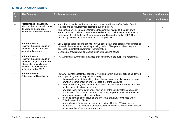| <b>Risk</b><br><b>id</b> | <b>Risk Category</b>                                                                                                                                                       | <b>Explanatory comments</b>                                                                                                                                                                                                                                                                                                                                                                                                                                                                                                                                                                                                                                                                                                                                                                                                                                                                                                                                                                                                |             | <b>Potential risk allocation</b> |
|--------------------------|----------------------------------------------------------------------------------------------------------------------------------------------------------------------------|----------------------------------------------------------------------------------------------------------------------------------------------------------------------------------------------------------------------------------------------------------------------------------------------------------------------------------------------------------------------------------------------------------------------------------------------------------------------------------------------------------------------------------------------------------------------------------------------------------------------------------------------------------------------------------------------------------------------------------------------------------------------------------------------------------------------------------------------------------------------------------------------------------------------------------------------------------------------------------------------------------------------------|-------------|----------------------------------|
|                          |                                                                                                                                                                            |                                                                                                                                                                                                                                                                                                                                                                                                                                                                                                                                                                                                                                                                                                                                                                                                                                                                                                                                                                                                                            | <b>PSAA</b> | <b>Audit Firms</b>               |
| 3.                       | <b>Performance / availability</b><br>Risk that the service will not be<br>delivered to the requisite<br>performance/availability levels.                                   | Audit firms must deliver the service in accordance with the NAO's Code of Audit<br>$\bullet$<br>Practice and all regulatory requirements e.g. of the FRC.<br>The contract will include a performance measure that relates to the audit firm's<br>stated capacity to deliver to a number of audits equal in value to the lot size plus a<br>margin (say 5% of the lot size) for audits awarded before the end of 2022. The<br>availability of sufficient audit resources is a supplier risk.                                                                                                                                                                                                                                                                                                                                                                                                                                                                                                                                |             |                                  |
| 4.                       | <b>Volume /demand</b><br>Risk that the actual usage of<br>the service is less than the<br>guaranteed minimum.                                                              | Local bodies that decide to opt into PSAA's scheme are then statutorily committed to<br>remain in the scheme for the full appointing period of five years, unless they are<br>abolished under local government reorganisation.<br>Contractual provision will guarantee a minimum volume of work.                                                                                                                                                                                                                                                                                                                                                                                                                                                                                                                                                                                                                                                                                                                           |             |                                  |
| 5.                       | Volume /demand<br>Risk that the actual usage of<br>the service is greater than the<br>lot size plus a small margin<br>(say 5%) for audit awards<br>before the end of 2022. | PSAA may only award work in excess of this figure with the supplier's agreement.                                                                                                                                                                                                                                                                                                                                                                                                                                                                                                                                                                                                                                                                                                                                                                                                                                                                                                                                           |             |                                  |
| 6.                       | Volume/demand<br>Substantial additional work.                                                                                                                              | PSAA will pay for substantial additional work and certain statutory actions as defined<br>in the Appointing Person regulations namely<br>the consideration of the making of and the making of a public interest report or<br>$\circ$<br>a written recommendation under Schedule 7 of the 2014 Act;<br>the exercise of any functions under section 27 of the 2014 Act in relation to the<br>$\circ$<br>right to make objections at the audit;<br>any application to the court under section 28 of the 2014 Act for a declaration<br>$\circ$<br>that an item of account is contrary to law or any appearance as respondent to<br>any appeal against such a declaration;<br>the consideration of the issue of and any issue of an advisory notice under<br>$\circ$<br>Schedule 8 of the 2014 Act;<br>any application for judicial review under section 31 of the 2014 Act or any<br>$\circ$<br>appearance as respondent to any application for judicial review made in respect<br>of the exercise of the auditors' functions. |             |                                  |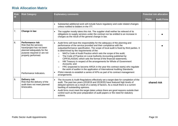| <b>Risk</b><br>id | <b>Risk Category</b>                                                                                                                                                                          | <b>Explanatory comments</b>                                                                                                                                                                                                                                                                                                                                                                                                                                                                                                                                                                                                                                                                                                                                                                                                                                                                               | <b>Potential risk allocation</b> |                    |
|-------------------|-----------------------------------------------------------------------------------------------------------------------------------------------------------------------------------------------|-----------------------------------------------------------------------------------------------------------------------------------------------------------------------------------------------------------------------------------------------------------------------------------------------------------------------------------------------------------------------------------------------------------------------------------------------------------------------------------------------------------------------------------------------------------------------------------------------------------------------------------------------------------------------------------------------------------------------------------------------------------------------------------------------------------------------------------------------------------------------------------------------------------|----------------------------------|--------------------|
|                   |                                                                                                                                                                                               |                                                                                                                                                                                                                                                                                                                                                                                                                                                                                                                                                                                                                                                                                                                                                                                                                                                                                                           | <b>PSAA</b>                      | <b>Audit Firms</b> |
|                   |                                                                                                                                                                                               | Substantial additional work will include future regulatory and code related changes<br>unless notified to bidders in the ITT.                                                                                                                                                                                                                                                                                                                                                                                                                                                                                                                                                                                                                                                                                                                                                                             |                                  |                    |
| 7.                | Change in law                                                                                                                                                                                 | The supplier mostly takes this risk. The supplier shall neither be relieved of its<br>obligations to supply services under the contract nor be entitled to an increase in<br>charges as the result of the general change in law.                                                                                                                                                                                                                                                                                                                                                                                                                                                                                                                                                                                                                                                                          |                                  |                    |
| 8.                | <b>Performance risk</b><br>Risk that the services<br>have/project has not been<br>planned adequately for the<br>purpose required or are not<br>properly performed.<br>Performance Indicators. | Audit firms will have the responsibility for the adequacy of the planning and<br>performance of the service provided and their compliance with the<br>output/performance specification. The scope of local audit is fixed by third parties. It<br>is determined by the requirements of the:<br>NAO's Code of Audit Practice which sets the scope of the audit;<br>$\Omega$<br>The Code of Practice on Local Authority Accounting published by<br>$\Omega$<br>CIPFA/LASSAC which sets the format of the financial statements;<br>HM Treasury in respect of the arrangements for Whole of Government<br>$\circ$<br>Accounts; and<br>FRC (expected to become ARGA in the year this contract starts) who regulate<br>$\circ$<br>the work of auditor in the application of International Auditing Standards.<br>PSAA intends to establish a series of KPIs as part of its contract management<br>arrangements. |                                  |                    |
| 9.                | <b>Delivery risk</b><br>Risk that the delivery of the<br>audit does not meet planned<br>timescales.                                                                                           | The Accounts & Audit Regulations effectively set a target date for completion of the<br>audit. The past two years (2018/19 and 2019/20) have featured high levels of<br>delayed opinions as a result of a variety of factors. As a result there is a current<br>backlog of outstanding opinions.<br>Audit firms must meet the target dates unless there are good reasons outside their<br>control such as the poor preparation of audit papers or the need for statutory<br>actions.                                                                                                                                                                                                                                                                                                                                                                                                                      | shared risk                      |                    |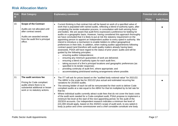| <b>Risk</b><br>id | <b>Risk Category</b>                                                                                                                                               | <b>Explanatory comments</b>                                                                                                                                                                                                                                                                                                                                                                                                                                                                                                                                                                                                                                                                                                                                                                                                                                                                                                                                                                                                                                                                                                                                                                                                                                                                                                                                                                                                                                                                 | <b>Potential risk allocation</b> |                    |
|-------------------|--------------------------------------------------------------------------------------------------------------------------------------------------------------------|---------------------------------------------------------------------------------------------------------------------------------------------------------------------------------------------------------------------------------------------------------------------------------------------------------------------------------------------------------------------------------------------------------------------------------------------------------------------------------------------------------------------------------------------------------------------------------------------------------------------------------------------------------------------------------------------------------------------------------------------------------------------------------------------------------------------------------------------------------------------------------------------------------------------------------------------------------------------------------------------------------------------------------------------------------------------------------------------------------------------------------------------------------------------------------------------------------------------------------------------------------------------------------------------------------------------------------------------------------------------------------------------------------------------------------------------------------------------------------------------|----------------------------------|--------------------|
|                   |                                                                                                                                                                    |                                                                                                                                                                                                                                                                                                                                                                                                                                                                                                                                                                                                                                                                                                                                                                                                                                                                                                                                                                                                                                                                                                                                                                                                                                                                                                                                                                                                                                                                                             | <b>PSAA</b>                      | <b>Audit Firms</b> |
| 10.               | <b>Scope of the Contract</b><br>Audits are not allocated until<br>after contract award.<br>Audits are awarded remote<br>from the audit firm's principal<br>office. | Current thinking is that contract lots will be based on work of a specified value of<br>work that is populated with named audits, reflecting a blend of authority types, after<br>completing the tender evaluation process, in consultation with both winning firms<br>and bodies. We are aware that audit firms expressed a preference for bidding for<br>audits on a geographic basis. However, having considered this approach thoroughly<br>we have concluded that it is likely to put at risk the statutory requirement on the<br>appointing person to appoint an independent auditor to every opted-in authority. We<br>intend to introduce a mechanism to enable bidders to reflect geographical<br>preferences in their bids. In addition, when making auditor appointments following<br>contract award (and therefore with audit quality matters already having been<br>assessed), PSAA will have regard to the status of prior years' audits and will be<br>guided by the following principles:<br>ensuring auditor independence;<br>$\circ$<br>ensuring any minimum guarantees of work are delivered;<br>$\circ$<br>ensuring a blend of authority types for each audit firm;<br>$\circ$<br>taking account of a firm's principal locations and geographic preferences (as<br>$\circ$<br>specified in its tender response);<br>providing continuity of audit firm, where appropriate; and<br>$\circ$<br>accommodating joint/shared working arrangements where possible.<br>$\circ$ |                                  |                    |
| 11.               | The audit services fee<br>Pricing for Code compliant<br>audits where there is no<br>substantial additional or lesser<br>work or no statutory actions.              | The ITT will ask for prices based on the "audited body notional value" for 2021/22.<br>The ABNV is the scale fee for 2021/22 plus actual and estimated recurring fee<br>variations for 2019/20 audits.<br>The winning bidder of each lot will be remunerated for their work to deliver Code<br>compliant audits at a rate equal to the ABNV for that lot multiplied by its bid rate for<br>that lot.<br>Where individual audits currently attract scale fees that do not cover the basic costs<br>of the audit work needed for a Code-compliant audit, PSAA propose to implement a<br>minimum fee level at the start of the next appointing period, for the audit of the<br>2023/24 accounts. Our independent research indicates a minimum fee level of<br>£31,000 should apply, based on the 2020/21 scope of audit work, to any opted-in<br>body (a police and crime commissioner and a chief constable constitute one body                                                                                                                                                                                                                                                                                                                                                                                                                                                                                                                                                               |                                  |                    |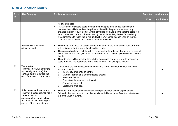| <b>Risk</b><br>id | <b>Risk Category</b>                                                                                                                                                                     | <b>Explanatory comments</b>                                                                                                                                                                                                                                                                                                                                                                                                                                                                                                                                                                                                                                                                                                                                                                                                                                                                                                                                                                                                               | <b>Potential risk allocation</b> |                    |
|-------------------|------------------------------------------------------------------------------------------------------------------------------------------------------------------------------------------|-------------------------------------------------------------------------------------------------------------------------------------------------------------------------------------------------------------------------------------------------------------------------------------------------------------------------------------------------------------------------------------------------------------------------------------------------------------------------------------------------------------------------------------------------------------------------------------------------------------------------------------------------------------------------------------------------------------------------------------------------------------------------------------------------------------------------------------------------------------------------------------------------------------------------------------------------------------------------------------------------------------------------------------------|----------------------------------|--------------------|
|                   |                                                                                                                                                                                          |                                                                                                                                                                                                                                                                                                                                                                                                                                                                                                                                                                                                                                                                                                                                                                                                                                                                                                                                                                                                                                           | <b>PSAA</b>                      | <b>Audit Firms</b> |
|                   | Valuation of substantial<br>additional work.                                                                                                                                             | for this purpose).<br>PSAA cannot anticipate scale fees for the next appointing period at this stage<br>because they will depend on the prices achieved in the procurement and any<br>changes in audit requirements. Where any price increase means that the scale fee<br>for a body does not reach the floor set by the minimum fee, the fee for that body<br>would increase to reach the minimum level. PSAA consults each year on the fee<br>scale and will consult in 2023 on the 2023/24 fee scale.<br>The hourly rates used as part of the determination of the valuation of additional work<br>will continue to be the same for all audited bodies.<br>The winning bidder of each lot will be remunerated for additional work at a rate equal<br>to the current rate card (which will be included in the ITT) multiplied by its bid rate for<br>that lot.<br>The rate card will be updated through the appointing period in line with changes to<br>scale fees that are not related to the level of work - for example, inflation. |                                  |                    |
| 12.               | <b>Termination</b><br>Risk that PSAA will terminate<br>(or partially terminate) the<br>contract early i.e. before the<br>end of the initial contract term.                               | Contractual provisions describe the conditions under which termination would be<br>invoked, covering:<br>Insolvency or change of control<br>$\circ$<br>Material irremediable or unremedied breach<br>$\Omega$<br>Persistent failure<br>$\circ$<br>Corruption, bribery, or discrimination<br>$\circ$<br>Serious security risk<br>$\circ$<br>Legislative changes.<br>$\circ$                                                                                                                                                                                                                                                                                                                                                                                                                                                                                                                                                                                                                                                                |                                  |                    |
| 13.               | <b>Subcontractor insolvency</b><br>Risk that a subcontractor within<br>the supplier's or<br>subcontractors' supply chain<br>becomes insolvent during the<br>course of the contract term. | The audit firm must take this risk as it is responsible for its own supply chains.<br>$\bullet$<br>Failure in the subcontractor supply chain is explicitly excluded from the definition of<br>a 'Force Majeure Event'.                                                                                                                                                                                                                                                                                                                                                                                                                                                                                                                                                                                                                                                                                                                                                                                                                    |                                  |                    |